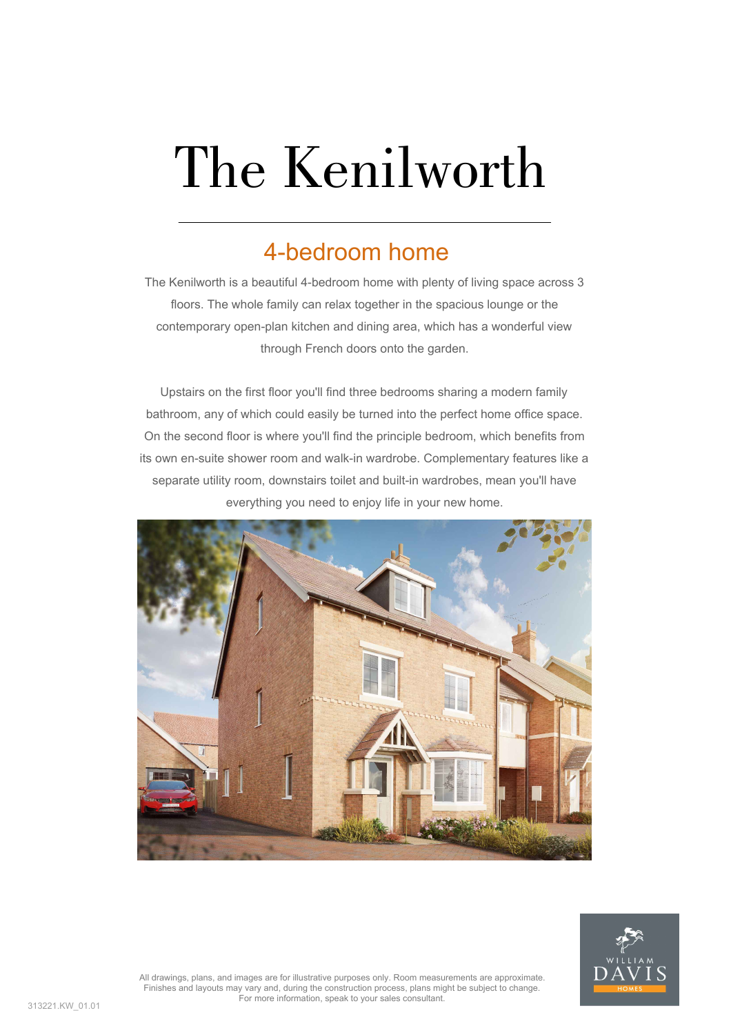# The Kenilworth

#### 4-bedroom home

The Kenilworth is a beautiful 4-bedroom home with plenty of living space across 3 floors. The whole family can relax together in the spacious lounge or the contemporary open-plan kitchen and dining area, which has a wonderful view through French doors onto the garden.

Upstairs on the first floor you'll find three bedrooms sharing a modern family bathroom, any of which could easily be turned into the perfect home office space. On the second floor is where you'll find the principle bedroom, which benefits from its own en-suite shower room and walk-in wardrobe. Complementary features like a separate utility room, downstairs toilet and built-in wardrobes, mean you'll have everything you need to enjoy life in your new home.





All drawings, plans, and images are for illustrative purposes only. Room measurements are approximate. Finishes and layouts may vary and, during the construction process, plans might be subject to change. For more information, speak to your sales consultant.